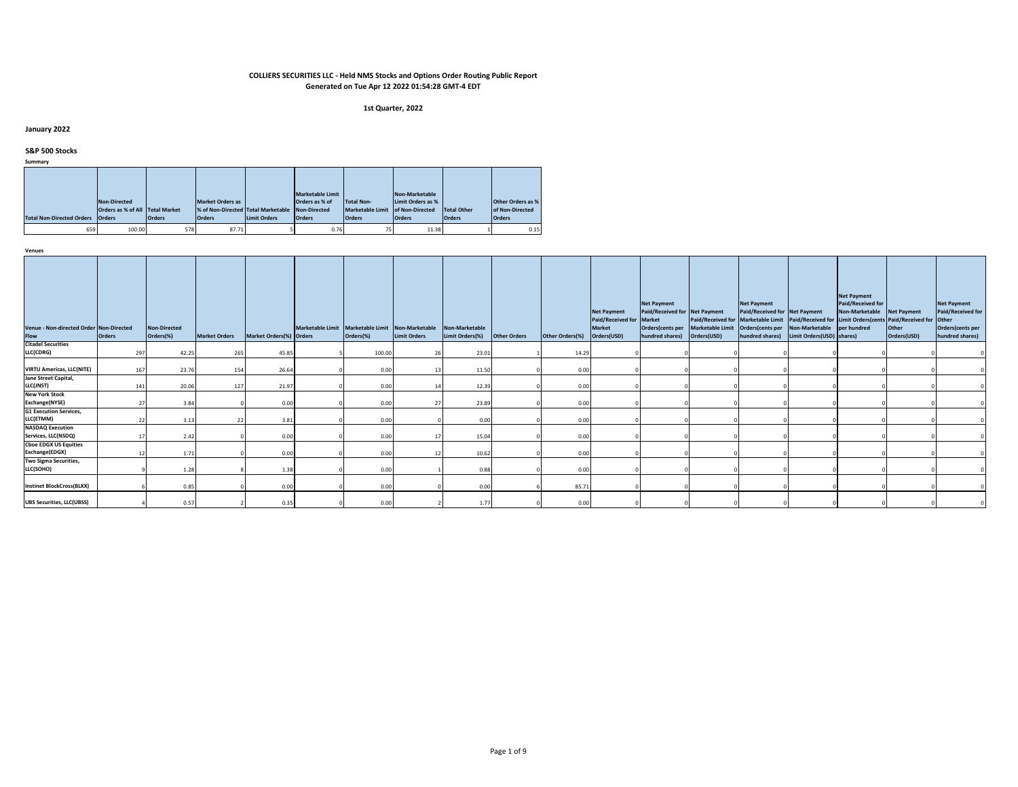#### **1st Quarter, 2022**

# **January 2022**

# **S&P 500 Stocks**

**Summary**

|                                  |                                 |               |                                    |                     | <b>Marketable Limit</b> |                   | Non-Marketable    |               |                          |
|----------------------------------|---------------------------------|---------------|------------------------------------|---------------------|-------------------------|-------------------|-------------------|---------------|--------------------------|
|                                  | Non-Directed                    |               | <b>Market Orders as</b>            |                     | Orders as % of          | <b>Total Non-</b> | Limit Orders as % |               | <b>Other Orders as %</b> |
|                                  | Orders as % of All Total Market |               | % of Non-Directed Total Marketable |                     | Non-Directed            | Marketable Limit  | of Non-Directed   | Total Other   | of Non-Directed          |
| <b>Total Non-Directed Orders</b> | <b>Orders</b>                   | <b>Orders</b> | <b>Orders</b>                      | <b>Limit Orders</b> | <b>Orders</b>           | <b>Orders</b>     | <b>Orders</b>     | <b>Orders</b> | <b>Orders</b>            |
| 659                              | 100.00                          | 578           | 87.71                              |                     | 0.76                    | 75                | 11.38             |               | 0.15                     |

| Venue - Non-directed Order Non-Directed<br>Flow | <b>Orders</b> | <b>Non-Directed</b><br>Orders(%) | <b>Market Orders</b> | Market Orders(%) Orders | Marketable Limit Marketable Limit Non-Marketable<br>Orders(%) | <b>Limit Orders</b> | Non-Marketable<br>Limit Orders(%) | <b>Other Orders</b> | Other Orders(%) | <b>Net Payment</b><br>Paid/Received for Market<br><b>Market</b><br>Orders(USD) | <b>Net Payment</b><br>Paid/Received for Net Payment<br>hundred shares) | Paid/Received for Marketable Limit   Paid/Received for   Limit Orders(cents   Paid/Received for   Other<br>Orders(cents per Marketable Limit Orders(cents per Non-Marketable per hundred<br>Orders(USD) | <b>Net Payment</b><br>Paid/Received for Net Payment<br>hundred shares) | Limit Orders (USD) shares) | <b>Net Payment</b><br>Paid/Received for<br>Non-Marketable Net Payment | Other<br>Orders(USD) | <b>Net Payment</b><br>Paid/Received for<br>Orders(cents per<br>hundred shares) |
|-------------------------------------------------|---------------|----------------------------------|----------------------|-------------------------|---------------------------------------------------------------|---------------------|-----------------------------------|---------------------|-----------------|--------------------------------------------------------------------------------|------------------------------------------------------------------------|---------------------------------------------------------------------------------------------------------------------------------------------------------------------------------------------------------|------------------------------------------------------------------------|----------------------------|-----------------------------------------------------------------------|----------------------|--------------------------------------------------------------------------------|
| <b>Citadel Securities</b>                       |               |                                  |                      |                         |                                                               |                     |                                   |                     |                 |                                                                                |                                                                        |                                                                                                                                                                                                         |                                                                        |                            |                                                                       |                      |                                                                                |
| LLC(CDRG)                                       | 297           | 42.25                            | 265                  | 45.85                   | 100.00                                                        |                     | 23.01                             |                     | 14.29           |                                                                                |                                                                        |                                                                                                                                                                                                         |                                                                        |                            |                                                                       |                      |                                                                                |
| <b>VIRTU Americas, LLC(NITE)</b>                | 167           | 23.76                            | 154                  | 26.64                   | 0.00                                                          |                     | 11.50                             |                     | 0.00            |                                                                                |                                                                        |                                                                                                                                                                                                         |                                                                        |                            |                                                                       |                      |                                                                                |
| Jane Street Capital,                            |               |                                  |                      |                         |                                                               |                     |                                   |                     |                 |                                                                                |                                                                        |                                                                                                                                                                                                         |                                                                        |                            |                                                                       |                      |                                                                                |
| LLC(JNST)                                       | 141           | 20.06                            | 127                  | 21.97                   | 0.00                                                          |                     | 12.39                             |                     | 0.00            |                                                                                |                                                                        |                                                                                                                                                                                                         |                                                                        |                            |                                                                       |                      |                                                                                |
| <b>New York Stock</b><br>Exchange(NYSE)         |               | 3.84                             |                      | 0.00                    | 0.00                                                          |                     | 23.89                             |                     | 0.00            |                                                                                |                                                                        |                                                                                                                                                                                                         |                                                                        |                            |                                                                       |                      |                                                                                |
| <b>G1 Execution Services,</b>                   |               |                                  |                      |                         |                                                               |                     |                                   |                     |                 |                                                                                |                                                                        |                                                                                                                                                                                                         |                                                                        |                            |                                                                       |                      |                                                                                |
| LLC(ETMM)                                       | 22            | 3.13                             |                      | 3.81                    | 0.00                                                          |                     | 0.00                              |                     | 0.00            |                                                                                |                                                                        |                                                                                                                                                                                                         |                                                                        |                            |                                                                       |                      |                                                                                |
| <b>NASDAQ Execution</b><br>Services, LLC(NSDQ)  |               | 2.42                             |                      | 0.00                    | 0.00                                                          |                     | 15.04                             |                     | 0.00            |                                                                                |                                                                        |                                                                                                                                                                                                         |                                                                        |                            |                                                                       |                      |                                                                                |
| <b>Choe EDGX US Equities</b><br>Exchange(EDGX)  |               | 1.71                             |                      | 0.00                    | 0.00                                                          |                     | 10.62                             |                     | 0.00            |                                                                                |                                                                        |                                                                                                                                                                                                         |                                                                        |                            |                                                                       |                      |                                                                                |
| Two Sigma Securities,                           |               |                                  |                      |                         |                                                               |                     |                                   |                     |                 |                                                                                |                                                                        |                                                                                                                                                                                                         |                                                                        |                            |                                                                       |                      |                                                                                |
| LLC(SOHO)                                       |               | 1.28                             |                      | 1.38                    | 0.00                                                          |                     | 0.88                              |                     | 0.00            |                                                                                |                                                                        |                                                                                                                                                                                                         |                                                                        |                            |                                                                       |                      |                                                                                |
| <b>Instinet BlockCross(BLKX)</b>                |               | 0.85                             |                      | 0.00                    | 0.00                                                          |                     | 0.00                              |                     | 85.71           |                                                                                |                                                                        |                                                                                                                                                                                                         |                                                                        |                            |                                                                       |                      |                                                                                |
| <b>UBS Securities, LLC(UBSS)</b>                |               | 0.57                             |                      | 0.35                    | 0.00                                                          |                     | 1.77                              |                     | 0.00            |                                                                                |                                                                        |                                                                                                                                                                                                         |                                                                        |                            |                                                                       |                      |                                                                                |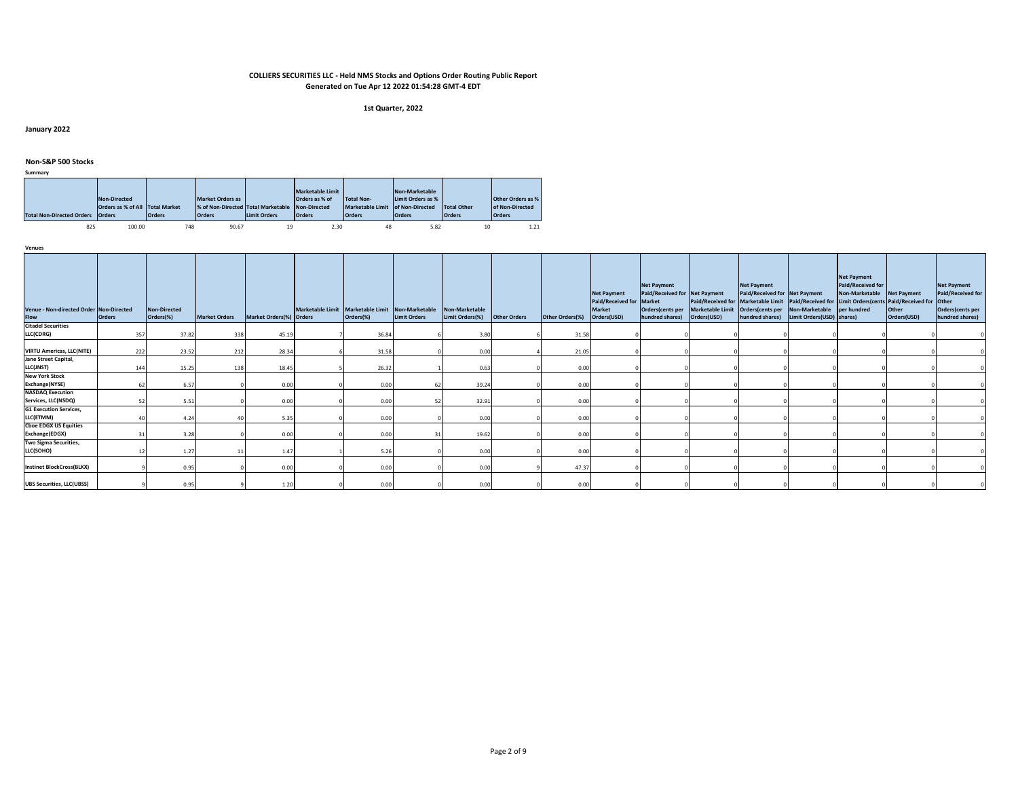#### **1st Quarter, 2022**

**January 2022**

# **Non-S&P 500 Stocks**

| Summary |  |  |
|---------|--|--|

|                                  | Non-Directed<br>Orders as % of All Total Market |               | <b>Market Orders as</b><br>% of Non-Directed Total Marketable |                     | <b>Marketable Limit</b><br>Orders as % of<br>Non-Directed | Total Non-<br>Marketable Limit of Non-Directed | Non-Marketable<br>Limit Orders as % | Total Other   | <b>Other Orders as %</b><br>of Non-Directed |
|----------------------------------|-------------------------------------------------|---------------|---------------------------------------------------------------|---------------------|-----------------------------------------------------------|------------------------------------------------|-------------------------------------|---------------|---------------------------------------------|
| <b>Total Non-Directed Orders</b> | <b>Orders</b>                                   | <b>Orders</b> | <b>Orders</b>                                                 | <b>Limit Orders</b> | <b>Orders</b>                                             | <b>Orders</b>                                  | <b>Orders</b>                       | <b>Orders</b> | <b>Orders</b>                               |
| 825                              | 100.00                                          | 748           | 90.67                                                         | 19                  | 2.30                                                      | 48                                             | 5.82                                | 10            | 1.21                                        |

| Venue - Non-directed Order Non-Directed<br>Flow | <b>Orders</b> | <b>Non-Directed</b><br>Orders(%) | <b>Market Orders</b> | Market Orders(%) Orders | Marketable Limit Marketable Limit Non-Marketable Non-Marketable<br>Orders(%) | <b>Limit Orders</b> | Limit Orders(%) | <b>Other Orders</b> | Other Orders(%) | <b>Net Payment</b><br>Paid/Received for Market<br>Market<br>Orders(USD) | <b>Net Payment</b><br>Paid/Received for Net Payment<br>hundred shares) | Orders(cents per Marketable Limit Orders(cents per Non-Marketable<br>Orders(USD) | <b>Net Payment</b><br>Paid/Received for Net Payment | hundred shares) Limit Orders (USD) shares) | <b>Net Payment</b><br>Paid/Received for<br>Non-Marketable Net Payment<br>per hundred | Paid/Received for Marketable Limit Paid/Received for Limit Orders(cents Paid/Received for Other<br>Other<br>Orders(USD) | <b>Net Payment</b><br>Paid/Received for<br>Orders(cents per<br>hundred shares) |
|-------------------------------------------------|---------------|----------------------------------|----------------------|-------------------------|------------------------------------------------------------------------------|---------------------|-----------------|---------------------|-----------------|-------------------------------------------------------------------------|------------------------------------------------------------------------|----------------------------------------------------------------------------------|-----------------------------------------------------|--------------------------------------------|--------------------------------------------------------------------------------------|-------------------------------------------------------------------------------------------------------------------------|--------------------------------------------------------------------------------|
| <b>Citadel Securities</b>                       |               |                                  |                      |                         |                                                                              |                     |                 |                     |                 |                                                                         |                                                                        |                                                                                  |                                                     |                                            |                                                                                      |                                                                                                                         |                                                                                |
| LLC(CDRG)                                       | 357           | 37.82                            | 338                  | 45.19                   | 36.84                                                                        |                     | 3.80            |                     | 31.58           |                                                                         |                                                                        |                                                                                  |                                                     |                                            |                                                                                      |                                                                                                                         |                                                                                |
| <b>VIRTU Americas, LLC(NITE)</b>                | 222           | 23.52                            | 212                  | 28.34                   | 31.58                                                                        |                     | 0.00            |                     | 21.05           |                                                                         |                                                                        |                                                                                  |                                                     |                                            |                                                                                      |                                                                                                                         |                                                                                |
| Jane Street Capital,                            |               |                                  |                      |                         |                                                                              |                     |                 |                     |                 |                                                                         |                                                                        |                                                                                  |                                                     |                                            |                                                                                      |                                                                                                                         |                                                                                |
| LLC(JNST)                                       | 144           | 15.25                            | 138                  | 18.45                   | 26.32                                                                        |                     | 0.63            |                     | 0.00            |                                                                         |                                                                        |                                                                                  |                                                     |                                            |                                                                                      |                                                                                                                         |                                                                                |
| <b>New York Stock</b>                           |               |                                  |                      |                         |                                                                              |                     |                 |                     |                 |                                                                         |                                                                        |                                                                                  |                                                     |                                            |                                                                                      |                                                                                                                         |                                                                                |
| Exchange(NYSE)                                  |               | 6.57                             |                      | 0.00                    | 0.00                                                                         | 62                  | 39.24           |                     | 0.00            |                                                                         |                                                                        |                                                                                  |                                                     |                                            |                                                                                      |                                                                                                                         |                                                                                |
| <b>NASDAQ Execution</b>                         |               |                                  |                      |                         |                                                                              |                     |                 |                     |                 |                                                                         |                                                                        |                                                                                  |                                                     |                                            |                                                                                      |                                                                                                                         |                                                                                |
| Services, LLC(NSDQ)                             |               | 5.51                             |                      | 0.00                    | 0.00                                                                         |                     | 32.91           |                     | 0.00            |                                                                         |                                                                        |                                                                                  |                                                     |                                            |                                                                                      |                                                                                                                         |                                                                                |
| <b>G1 Execution Services,</b><br>LLC(ETMM)      |               | 4.24                             |                      | 5.35                    | 0.00                                                                         |                     | 0.00            |                     | 0.00            |                                                                         |                                                                        |                                                                                  |                                                     |                                            |                                                                                      |                                                                                                                         |                                                                                |
| <b>Cboe EDGX US Equities</b>                    |               |                                  |                      |                         |                                                                              |                     |                 |                     |                 |                                                                         |                                                                        |                                                                                  |                                                     |                                            |                                                                                      |                                                                                                                         |                                                                                |
| Exchange(EDGX)                                  |               | 3.28                             |                      | 0.00                    | 0.00                                                                         |                     | 19.62           |                     | 0.00            |                                                                         |                                                                        |                                                                                  |                                                     |                                            |                                                                                      |                                                                                                                         |                                                                                |
| Two Sigma Securities,                           |               |                                  |                      |                         |                                                                              |                     |                 |                     |                 |                                                                         |                                                                        |                                                                                  |                                                     |                                            |                                                                                      |                                                                                                                         |                                                                                |
| LLC(SOHO)                                       |               | 1.27                             |                      | 1.47                    | 5.26                                                                         |                     | 0.00            |                     | 0.00            |                                                                         |                                                                        |                                                                                  |                                                     |                                            |                                                                                      |                                                                                                                         |                                                                                |
| <b>Instinet BlockCross(BLKX)</b>                |               | 0.95                             |                      | 0.00                    | 0.00                                                                         |                     | 0.00            |                     | 47.37           |                                                                         |                                                                        |                                                                                  |                                                     |                                            |                                                                                      |                                                                                                                         |                                                                                |
| <b>UBS Securities, LLC(UBSS)</b>                |               | 0.95                             |                      | 1.20                    | 0.00                                                                         |                     | 0.00            |                     | 0.00            |                                                                         |                                                                        |                                                                                  |                                                     |                                            |                                                                                      |                                                                                                                         |                                                                                |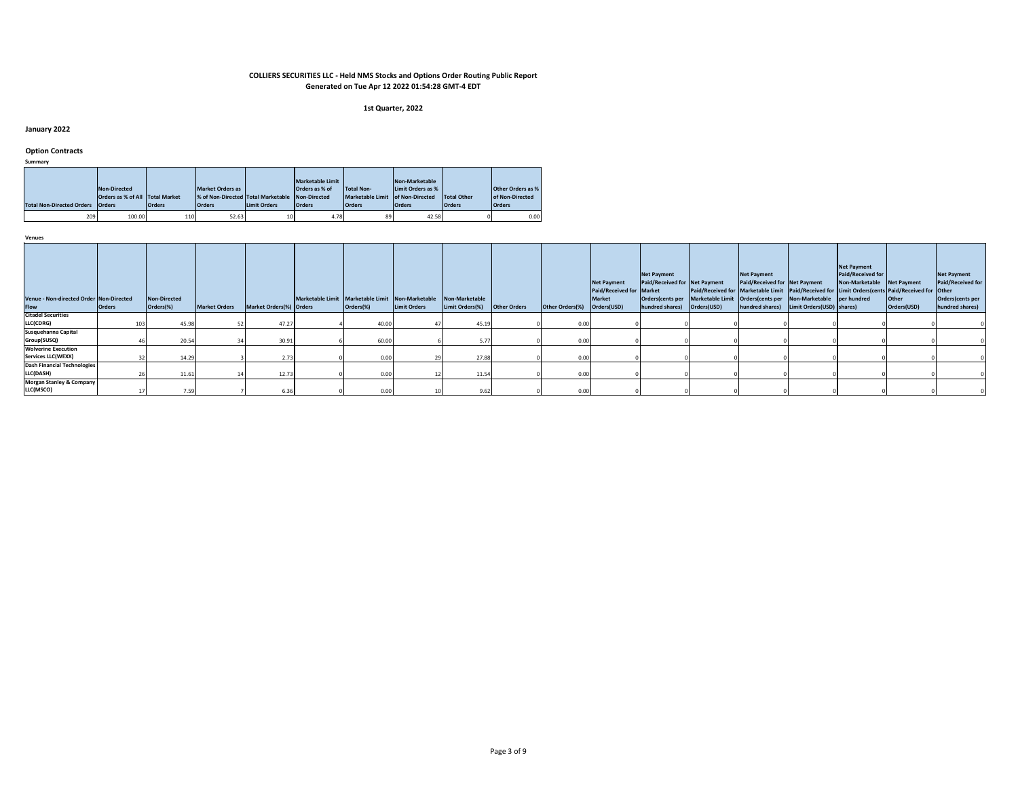#### **1st Quarter, 2022**

**January 2022**

**Option Contracts**

**Summary**

| ----------                              |                                        |               |                                                 |                     |                         |                   |                   |               |                          |
|-----------------------------------------|----------------------------------------|---------------|-------------------------------------------------|---------------------|-------------------------|-------------------|-------------------|---------------|--------------------------|
|                                         |                                        |               |                                                 |                     | <b>Marketable Limit</b> |                   | Non-Marketable    |               |                          |
|                                         | Non-Directed                           |               | <b>Market Orders as</b>                         |                     | Orders as % of          | <b>Total Non-</b> | Limit Orders as % |               | <b>Other Orders as %</b> |
|                                         | <b>Orders as % of All Total Market</b> |               | % of Non-Directed Total Marketable Non-Directed |                     |                         | Marketable Limit  | of Non-Directed   | Total Other   | of Non-Directed          |
| <b>Total Non-Directed Orders Orders</b> |                                        | <b>Orders</b> | <b>Orders</b>                                   | <b>Limit Orders</b> | <b>Orders</b>           | <b>Orders</b>     | <b>Orders</b>     | <b>Orders</b> | <b>Orders</b>            |
| 209                                     | 100.00                                 | 110           | 52.63                                           | 10                  | 4.78                    | 89                | 42.58             |               | 0.00                     |

| Venue - Non-directed Order Non-Directed<br>Flow | <b>Orders</b> | <b>Non-Directed</b><br>Orders(%) | <b>Market Orders</b> | Market Orders(%) Orders | Marketable Limit Marketable Limit Non-Marketable | Orders(%) | <b>Limit Orders</b> | Non-Marketable<br>Limit Orders(%) | <b>Other Orders</b> | Other Orders(%) | <b>Net Payment</b><br>Paid/Received for Market<br><b>Market</b><br>Orders(USD) | <b>Net Payment</b><br>Paid/Received for Net Payment<br>hundred shares) Orders(USD) | Paid/Received for Marketable Limit Paid/Received for Limit Orders(cents Paid/Received for Other<br>Orders (cents per Marketable Limit   Orders (cents per Non-Marketable   per hundred | <b>Net Payment</b><br>Paid/Received for Net Payment | hundred shares) Limit Orders (USD) shares) | <b>Net Payment</b><br>Paid/Received for<br>Non-Marketable Net Payment | Other<br>Orders(USD) | <b>Net Payment</b><br>Paid/Received for<br>Orders(cents per<br>hundred shares) |
|-------------------------------------------------|---------------|----------------------------------|----------------------|-------------------------|--------------------------------------------------|-----------|---------------------|-----------------------------------|---------------------|-----------------|--------------------------------------------------------------------------------|------------------------------------------------------------------------------------|----------------------------------------------------------------------------------------------------------------------------------------------------------------------------------------|-----------------------------------------------------|--------------------------------------------|-----------------------------------------------------------------------|----------------------|--------------------------------------------------------------------------------|
| <b>Citadel Securities</b>                       |               |                                  |                      |                         |                                                  |           |                     |                                   |                     |                 |                                                                                |                                                                                    |                                                                                                                                                                                        |                                                     |                                            |                                                                       |                      |                                                                                |
| LLC(CDRG)                                       |               | 45.98                            |                      | 47.27                   |                                                  | 40.00     |                     | 45.19                             |                     | 0.00            |                                                                                |                                                                                    |                                                                                                                                                                                        |                                                     |                                            |                                                                       |                      |                                                                                |
| Susquehanna Capital                             |               |                                  |                      |                         |                                                  |           |                     |                                   |                     |                 |                                                                                |                                                                                    |                                                                                                                                                                                        |                                                     |                                            |                                                                       |                      |                                                                                |
| Group(SUSQ)                                     |               | 20.54                            |                      | 30.91                   |                                                  | 60.00     |                     | 5.77                              |                     | 0.00            |                                                                                |                                                                                    |                                                                                                                                                                                        |                                                     |                                            |                                                                       |                      |                                                                                |
| <b>Wolverine Execution</b>                      |               |                                  |                      |                         |                                                  |           |                     |                                   |                     |                 |                                                                                |                                                                                    |                                                                                                                                                                                        |                                                     |                                            |                                                                       |                      |                                                                                |
| <b>Services LLC(WEXX)</b>                       |               | 14.29                            |                      | 2.73                    |                                                  | 0.00      |                     | 27.88                             |                     | 0.00            |                                                                                |                                                                                    |                                                                                                                                                                                        |                                                     |                                            |                                                                       |                      |                                                                                |
| <b>Dash Financial Technologies</b>              |               |                                  |                      |                         |                                                  |           |                     |                                   |                     |                 |                                                                                |                                                                                    |                                                                                                                                                                                        |                                                     |                                            |                                                                       |                      |                                                                                |
| LLC(DASH)                                       |               | 11.61                            |                      | 12.73                   |                                                  |           |                     | 11.54                             |                     | 0.00            |                                                                                |                                                                                    |                                                                                                                                                                                        |                                                     |                                            |                                                                       |                      |                                                                                |
| <b>Morgan Stanley &amp; Company</b>             |               |                                  |                      |                         |                                                  |           |                     |                                   |                     |                 |                                                                                |                                                                                    |                                                                                                                                                                                        |                                                     |                                            |                                                                       |                      |                                                                                |
| LLC(MSCO)                                       |               | 7.59                             |                      | 6.36                    |                                                  |           |                     | 9.62.                             |                     | 0.00            |                                                                                |                                                                                    |                                                                                                                                                                                        |                                                     |                                            |                                                                       |                      |                                                                                |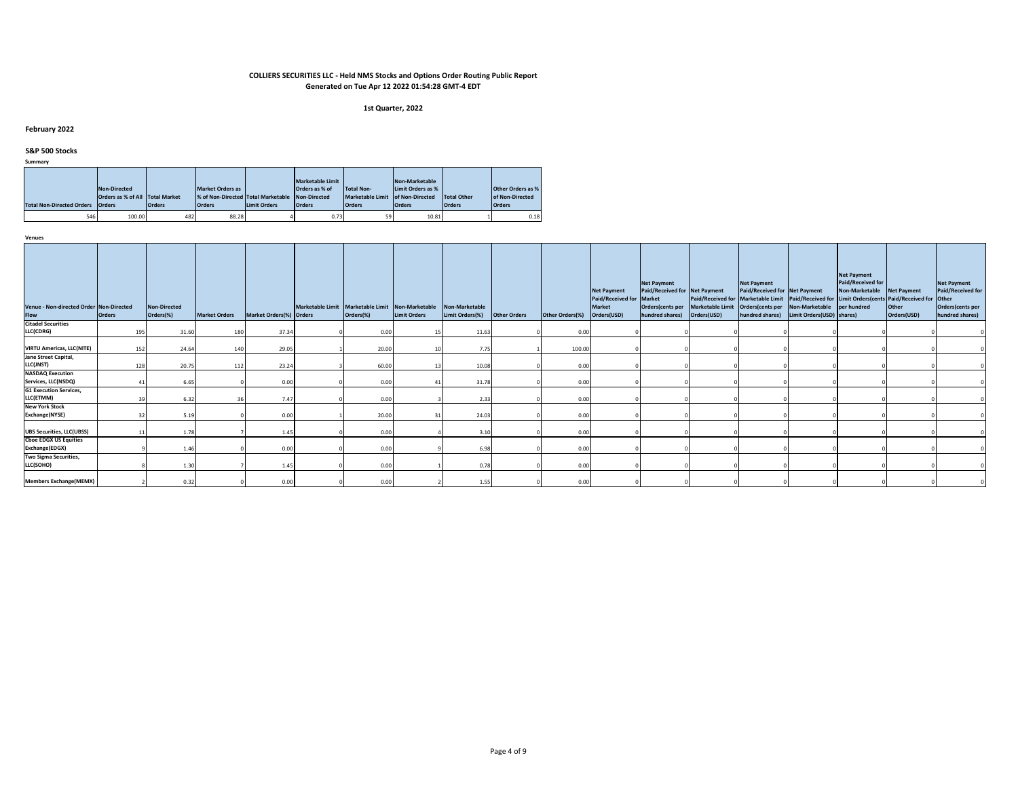#### **1st Quarter, 2022**

# **February 2022**

# **S&P 500 Stocks**

**Summary**

|                                  |                                 |     |                                                 |                     | <b>Marketable Limit</b> |                         | Non-Marketable    |                    |                          |
|----------------------------------|---------------------------------|-----|-------------------------------------------------|---------------------|-------------------------|-------------------------|-------------------|--------------------|--------------------------|
|                                  | Non-Directed                    |     | Market Orders as                                |                     | Orders as % of          | <b>Total Non-</b>       | Limit Orders as % |                    | <b>Other Orders as %</b> |
|                                  | Orders as % of All Total Market |     | % of Non-Directed Total Marketable Non-Directed |                     |                         | <b>Marketable Limit</b> | of Non-Directed   | <b>Total Other</b> | of Non-Directed          |
| <b>Total Non-Directed Orders</b> | <b>Orders</b><br><b>Orders</b>  |     | <b>Orders</b>                                   | <b>Limit Orders</b> | <b>Orders</b>           | <b>Orders</b>           | <b>Orders</b>     | <b>Orders</b>      | <b>Orders</b>            |
| 546                              | 100.00                          | 482 | 88.28                                           |                     | 0.73                    | 59                      | 10.81             |                    | 0.18                     |

| Venue - Non-directed Order Non-Directed<br>Flow | <b>Orders</b> | <b>Non-Directed</b><br>Orders(%) | <b>Market Orders</b> | Market Orders(%) Orders | Marketable Limit Marketable Limit Non-Marketable<br>Orders(%) | <b>Limit Orders</b> | Non-Marketable<br>Limit Orders(%) | <b>Other Orders</b> | Other Orders(%) | <b>Net Payment</b><br>Paid/Received for Market<br><b>Market</b><br>Orders(USD) | <b>Net Payment</b><br>Paid/Received for Net Payment<br>hundred shares) Orders(USD) | Paid/Received for Marketable Limit Paid/Received for Limit Orders(cents Paid/Received for Other<br>Orders(cents per Marketable Limit Orders(cents per Non-Marketable per hundred | <b>Net Payment</b><br>Paid/Received for Net Payment | hundred shares) Limit Orders (USD) shares) | <b>Net Payment</b><br>Paid/Received for<br>Non-Marketable Net Payment | Other<br>Orders(USD) | <b>Net Payment</b><br>Paid/Received for<br>Orders(cents per<br>hundred shares) |
|-------------------------------------------------|---------------|----------------------------------|----------------------|-------------------------|---------------------------------------------------------------|---------------------|-----------------------------------|---------------------|-----------------|--------------------------------------------------------------------------------|------------------------------------------------------------------------------------|----------------------------------------------------------------------------------------------------------------------------------------------------------------------------------|-----------------------------------------------------|--------------------------------------------|-----------------------------------------------------------------------|----------------------|--------------------------------------------------------------------------------|
| <b>Citadel Securities</b>                       |               |                                  |                      |                         |                                                               |                     |                                   |                     |                 |                                                                                |                                                                                    |                                                                                                                                                                                  |                                                     |                                            |                                                                       |                      |                                                                                |
| LLC(CDRG)                                       | 195           | 31.60                            | 180                  | 37.34                   | 0.00                                                          |                     | 11.63                             |                     | 0.00            |                                                                                |                                                                                    |                                                                                                                                                                                  |                                                     |                                            |                                                                       |                      |                                                                                |
|                                                 |               |                                  |                      |                         |                                                               |                     |                                   |                     |                 |                                                                                |                                                                                    |                                                                                                                                                                                  |                                                     |                                            |                                                                       |                      |                                                                                |
| <b>VIRTU Americas, LLC(NITE)</b>                | 152           | 24.64                            | 140                  | 29.05                   | 20.00                                                         |                     | 7.75                              |                     | 100.00          |                                                                                |                                                                                    |                                                                                                                                                                                  |                                                     |                                            |                                                                       |                      |                                                                                |
| Jane Street Capital,                            |               |                                  |                      |                         |                                                               |                     |                                   |                     |                 |                                                                                |                                                                                    |                                                                                                                                                                                  |                                                     |                                            |                                                                       |                      |                                                                                |
| LLC(JNST)                                       | 128           | 20.75                            | 112                  | 23.24                   | 60.00                                                         |                     | 10.08                             |                     | 0.00            |                                                                                |                                                                                    |                                                                                                                                                                                  |                                                     |                                            |                                                                       |                      |                                                                                |
| <b>NASDAQ Execution</b>                         |               |                                  |                      |                         |                                                               |                     |                                   |                     |                 |                                                                                |                                                                                    |                                                                                                                                                                                  |                                                     |                                            |                                                                       |                      |                                                                                |
| Services, LLC(NSDQ)                             |               | 6.65                             |                      | 0.00                    | 0.00                                                          | 41                  | 31.78                             |                     | 0.00            |                                                                                |                                                                                    |                                                                                                                                                                                  |                                                     |                                            |                                                                       |                      |                                                                                |
| <b>G1 Execution Services,</b>                   |               |                                  |                      |                         |                                                               |                     |                                   |                     |                 |                                                                                |                                                                                    |                                                                                                                                                                                  |                                                     |                                            |                                                                       |                      |                                                                                |
| LLC(ETMM)                                       |               | 6.32                             |                      | 7.47                    | 0.00                                                          |                     | 2.33                              |                     | 0.00            |                                                                                |                                                                                    |                                                                                                                                                                                  |                                                     |                                            |                                                                       |                      |                                                                                |
| <b>New York Stock</b>                           |               |                                  |                      |                         |                                                               |                     |                                   |                     |                 |                                                                                |                                                                                    |                                                                                                                                                                                  |                                                     |                                            |                                                                       |                      |                                                                                |
| Exchange(NYSE)                                  |               | 5.19                             |                      | 0.00                    | 20.00                                                         |                     | 24.03                             |                     | 0.00            |                                                                                |                                                                                    |                                                                                                                                                                                  |                                                     |                                            |                                                                       |                      |                                                                                |
| <b>UBS Securities, LLC(UBSS)</b>                |               | 1.78                             |                      | 1.45                    | 0.00                                                          |                     | 3.10                              |                     | 0.00            |                                                                                |                                                                                    |                                                                                                                                                                                  |                                                     |                                            |                                                                       |                      |                                                                                |
| <b>Choe EDGX US Equities</b>                    |               |                                  |                      |                         |                                                               |                     |                                   |                     |                 |                                                                                |                                                                                    |                                                                                                                                                                                  |                                                     |                                            |                                                                       |                      |                                                                                |
| Exchange(EDGX)                                  |               | 1.46                             |                      | 0.00                    | 0.00                                                          |                     | 6.98                              |                     | 0.00            |                                                                                |                                                                                    |                                                                                                                                                                                  |                                                     |                                            |                                                                       |                      |                                                                                |
| Two Sigma Securities,                           |               |                                  |                      |                         |                                                               |                     |                                   |                     |                 |                                                                                |                                                                                    |                                                                                                                                                                                  |                                                     |                                            |                                                                       |                      |                                                                                |
| LLC(SOHO)                                       |               | 1.30                             |                      | 1.45                    | 0.00                                                          |                     | 0.78                              |                     | 0.00            |                                                                                |                                                                                    |                                                                                                                                                                                  |                                                     |                                            |                                                                       |                      |                                                                                |
| <b>Members Exchange(MEMX)</b>                   |               | 0.32                             |                      | 0.00                    | 0.00                                                          |                     | 1.55                              |                     | 0.00            |                                                                                |                                                                                    |                                                                                                                                                                                  |                                                     |                                            |                                                                       |                      |                                                                                |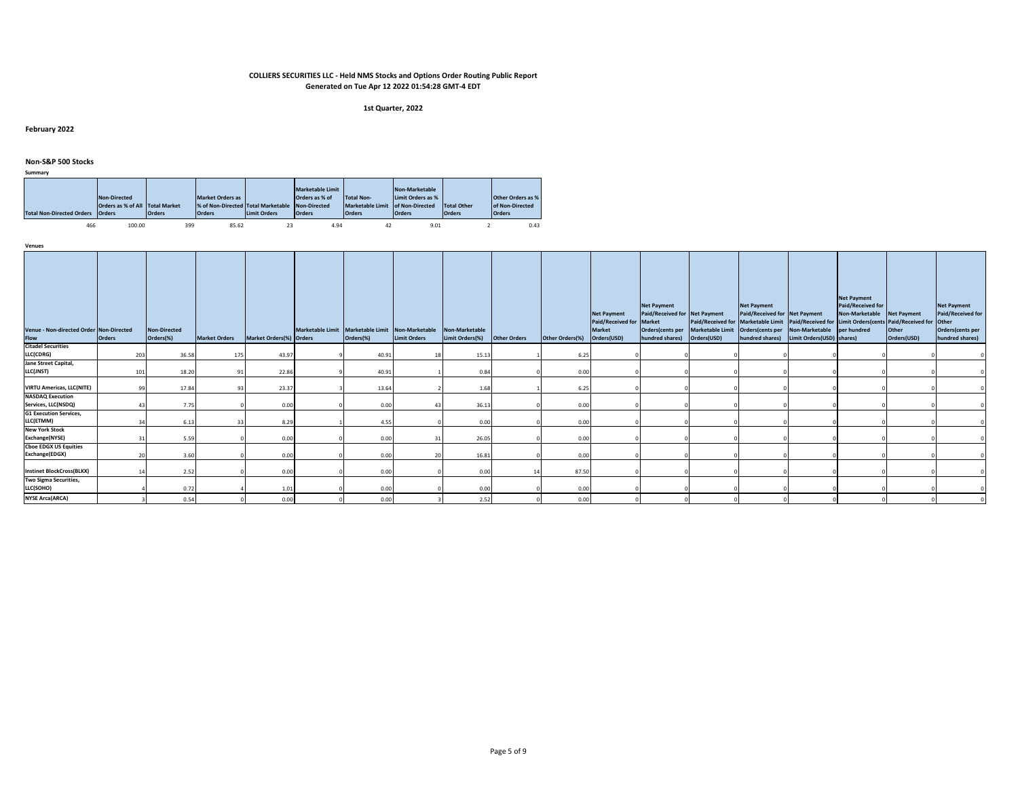#### **1st Quarter, 2022**

# **February 2022**

# **Non-S&P 500 Stocks**

| Summary |  |  |
|---------|--|--|

| <b>Total Non-Directed Orders Orders</b> | Non-Directed<br>Orders as % of All Total Market | <b>Orders</b> | <b>Market Orders as</b><br>% of Non-Directed Total Marketable Non-Directed<br><b>Orders</b> | <b>Limit Orders</b> | <b>Marketable Limit</b><br>Orders as % of<br><b>Orders</b> | Total Non-<br>Marketable Limit of Non-Directed<br><b>Orders</b> | Non-Marketable<br>Limit Orders as %<br><b>Orders</b> | Total Other<br><b>Orders</b> | <b>Other Orders as %</b><br>of Non-Directed<br><b>Orders</b> |
|-----------------------------------------|-------------------------------------------------|---------------|---------------------------------------------------------------------------------------------|---------------------|------------------------------------------------------------|-----------------------------------------------------------------|------------------------------------------------------|------------------------------|--------------------------------------------------------------|
| 466                                     | 100.00                                          | 399           | 85.62                                                                                       | 23                  | 4.94                                                       | 42                                                              | 9.01                                                 |                              | 0.43                                                         |

| Venue - Non-directed Order Non-Directed<br>Flow | <b>Orders</b> | Non-Directed<br>Orders(%) | <b>Market Orders</b> | Market Orders(%) Orders | Marketable Limit   Marketable Limit   Non-Marketable   Non-Marketable<br>Orders(%) | <b>Limit Orders</b> | Limit Orders(%) | <b>Other Orders</b> | Other Orders(%) | <b>Net Payment</b><br>Paid/Received for Market<br><b>Market</b><br>Orders(USD) | <b>Net Payment</b><br>Paid/Received for Net Payment<br>hundred shares) | Orders(USD) | <b>Net Payment</b><br>Paid/Received for Net Payment<br>hundred shares) | Orders(cents per Marketable Limit   Orders(cents per Non-Marketable   per hundred<br>Limit Orders (USD) shares) | <b>Net Payment</b><br>Paid/Received for<br>Non-Marketable Net Payment<br>Paid/Received for Marketable Limit Paid/Received for Limit Orders(cents Paid/Received for Other | <b>Other</b><br>Orders(USD) | <b>Net Payment</b><br>Paid/Received for<br>Orders(cents per<br>hundred shares) |
|-------------------------------------------------|---------------|---------------------------|----------------------|-------------------------|------------------------------------------------------------------------------------|---------------------|-----------------|---------------------|-----------------|--------------------------------------------------------------------------------|------------------------------------------------------------------------|-------------|------------------------------------------------------------------------|-----------------------------------------------------------------------------------------------------------------|--------------------------------------------------------------------------------------------------------------------------------------------------------------------------|-----------------------------|--------------------------------------------------------------------------------|
| <b>Citadel Securities</b>                       |               |                           |                      |                         |                                                                                    |                     |                 |                     |                 |                                                                                |                                                                        |             |                                                                        |                                                                                                                 |                                                                                                                                                                          |                             |                                                                                |
| LLC(CDRG)<br>Jane Street Capital,               | 203           | 36.58                     | 175                  | 43.97                   | 40.91                                                                              |                     | 15.13           |                     | 6.25            |                                                                                |                                                                        |             |                                                                        |                                                                                                                 |                                                                                                                                                                          |                             |                                                                                |
| LLC(JNST)                                       | 101           | 18.20                     | ٩                    | 22.86                   | 40.91                                                                              |                     | 0.84            |                     | 0.00            |                                                                                |                                                                        |             |                                                                        |                                                                                                                 |                                                                                                                                                                          |                             |                                                                                |
| <b>VIRTU Americas, LLC(NITE)</b>                | QQ            | 17.84                     | 93                   | 23.37                   | 13.64                                                                              |                     | 1.68            |                     | 6.25            |                                                                                |                                                                        |             |                                                                        |                                                                                                                 |                                                                                                                                                                          |                             |                                                                                |
| <b>NASDAQ Execution</b><br>Services, LLC(NSDQ)  |               | 7.75                      |                      | 0.00                    | 0.00                                                                               |                     | 36.13           |                     | 0.00            |                                                                                |                                                                        |             |                                                                        |                                                                                                                 |                                                                                                                                                                          |                             |                                                                                |
| <b>G1 Execution Services,</b><br>LLC(ETMM)      |               | 6.13                      |                      | 8.29                    | 4.55                                                                               |                     | 0.00            |                     | 0.00            |                                                                                |                                                                        |             |                                                                        |                                                                                                                 |                                                                                                                                                                          |                             |                                                                                |
| <b>New York Stock</b><br>Exchange(NYSE)         |               | 5.59                      |                      | 0.00                    | 0.00                                                                               |                     | 26.05           |                     | 0.00            |                                                                                |                                                                        |             |                                                                        |                                                                                                                 |                                                                                                                                                                          |                             |                                                                                |
| <b>Cboe EDGX US Equities</b><br>Exchange(EDGX)  | 20            | 3.60                      |                      | 0.00                    | 0.00                                                                               | 20                  | 16.81           |                     | 0.00            |                                                                                |                                                                        |             |                                                                        |                                                                                                                 |                                                                                                                                                                          |                             |                                                                                |
| <b>Instinet BlockCross(BLKX)</b>                | 14            | 2.52                      |                      | 0.00                    | 0.00                                                                               |                     | 0.00            |                     | 87.50           |                                                                                |                                                                        |             |                                                                        |                                                                                                                 |                                                                                                                                                                          |                             |                                                                                |
| Two Sigma Securities,<br>LLC(SOHO)              |               | 0.72                      |                      | 1.01                    | 0.00                                                                               |                     | 0.00            |                     | 0.00            |                                                                                |                                                                        |             |                                                                        |                                                                                                                 |                                                                                                                                                                          |                             |                                                                                |
| <b>NYSE Arca(ARCA)</b>                          |               | 0.54                      |                      | 0.00                    | 0.00                                                                               |                     | 2.52            |                     | 0.00            |                                                                                |                                                                        |             |                                                                        |                                                                                                                 |                                                                                                                                                                          |                             |                                                                                |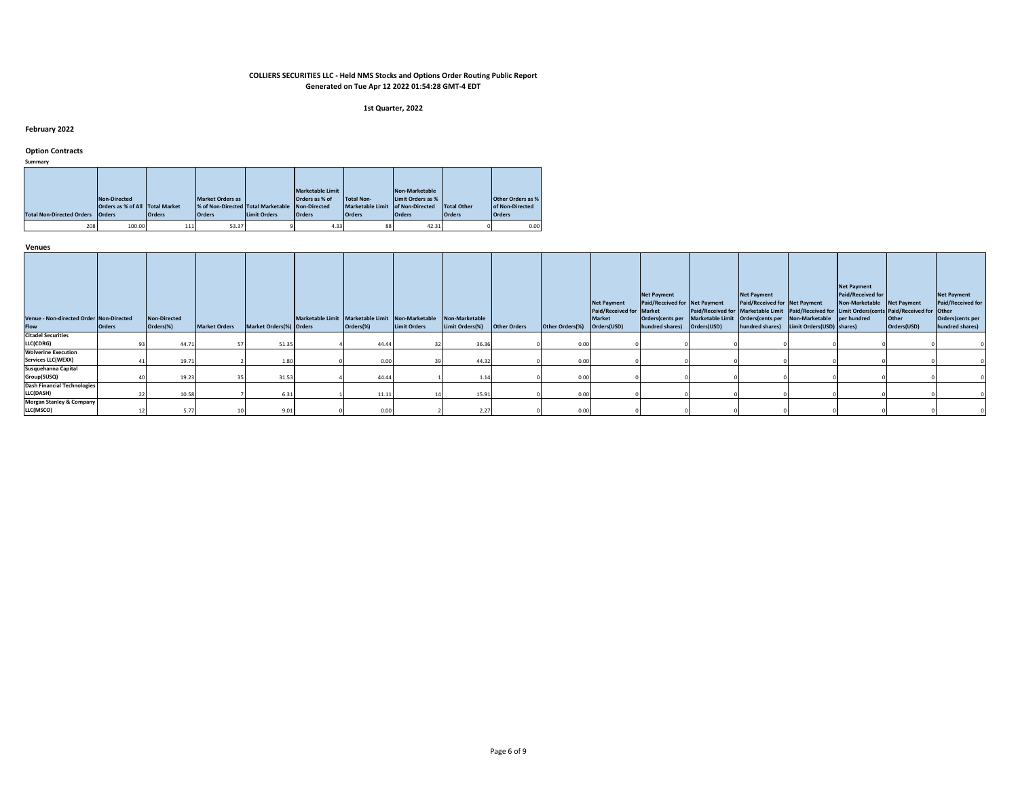#### **1st Quarter, 2022**

# **February 2022**

# **Option Contracts**

**Summary**

| <b>Total Non-Directed Orders</b> | Non-Directed<br>Orders as % of All Total Market<br><b>Orders</b> | <b>Orders</b> | <b>Market Orders as</b><br>% of Non-Directed Total Marketable Non-Directed<br><b>Orders</b> | Limit Orders | <b>Marketable Limit</b><br>Orders as % of<br><b>Orders</b> | <b>Total Non-</b><br><b>Marketable Limit</b><br><b>Orders</b> | Non-Marketable<br>Limit Orders as %<br>of Non-Directed<br><b>Orders</b> | <b>Total Other</b><br><b>Orders</b> | <b>Other Orders as %</b><br>of Non-Directed<br><b>Orders</b> |
|----------------------------------|------------------------------------------------------------------|---------------|---------------------------------------------------------------------------------------------|--------------|------------------------------------------------------------|---------------------------------------------------------------|-------------------------------------------------------------------------|-------------------------------------|--------------------------------------------------------------|
| 208                              | 100.00                                                           | 111           | 53.37                                                                                       |              | 4.33                                                       | 88                                                            | 42.31                                                                   |                                     | 0.00                                                         |

| Venue - Non-directed Order Non-Directed<br>Flow  | <b>Orders</b> | <b>Non-Directed</b><br>Orders(%) | <b>Market Orders</b> | Market Orders(%) Orders | Marketable Limit Marketable Limit Non-Marketable Non-Marketable<br>Orders(%) | <b>Limit Orders</b> | Limit Orders(%) | <b>Other Orders</b> | Other Orders(%) | <b>Net Payment</b><br>Paid/Received for Market<br><b>Market</b><br>Orders(USD) | <b>Net Payment</b><br>Paid/Received for Net Payment<br>hundred shares) | Orders(cents per Marketable Limit   Orders(cents per Non-Marketable   per hundred<br>Orders(USD) | <b>Net Payment</b><br>Paid/Received for Net Payment | hundred shares) Limit Orders (USD) shares) | <b>Net Payment</b><br>Paid/Received for<br>Non-Marketable Net Payment<br>Paid/Received for Marketable Limit Paid/Received for Limit Orders(cents Paid/Received for Other | Other<br>Orders(USD) | <b>Net Payment</b><br>Paid/Received for<br>Orders(cents per<br>hundred shares) |
|--------------------------------------------------|---------------|----------------------------------|----------------------|-------------------------|------------------------------------------------------------------------------|---------------------|-----------------|---------------------|-----------------|--------------------------------------------------------------------------------|------------------------------------------------------------------------|--------------------------------------------------------------------------------------------------|-----------------------------------------------------|--------------------------------------------|--------------------------------------------------------------------------------------------------------------------------------------------------------------------------|----------------------|--------------------------------------------------------------------------------|
| <b>Citadel Securities</b>                        |               |                                  |                      |                         |                                                                              |                     |                 |                     |                 |                                                                                |                                                                        |                                                                                                  |                                                     |                                            |                                                                                                                                                                          |                      |                                                                                |
| LLC(CDRG)                                        |               | 44.71                            |                      | 51.35                   | 44.44                                                                        |                     | 36.36           |                     | 0.00            |                                                                                |                                                                        |                                                                                                  |                                                     |                                            |                                                                                                                                                                          |                      |                                                                                |
| <b>Wolverine Execution</b>                       |               |                                  |                      |                         |                                                                              |                     |                 |                     |                 |                                                                                |                                                                        |                                                                                                  |                                                     |                                            |                                                                                                                                                                          |                      |                                                                                |
| <b>Services LLC(WEXX)</b>                        |               | 19.71                            |                      | 1.8                     | 0.00                                                                         |                     | 44.32           |                     | 0.0             |                                                                                |                                                                        |                                                                                                  |                                                     |                                            |                                                                                                                                                                          |                      |                                                                                |
| Susquehanna Capital                              |               |                                  |                      |                         |                                                                              |                     |                 |                     |                 |                                                                                |                                                                        |                                                                                                  |                                                     |                                            |                                                                                                                                                                          |                      |                                                                                |
| Group(SUSQ)                                      |               | 19.23                            |                      | 31.53                   | 44.44                                                                        |                     | 1.14            |                     | 0.00            |                                                                                |                                                                        |                                                                                                  |                                                     |                                            |                                                                                                                                                                          |                      |                                                                                |
| <b>Dash Financial Technologies</b>               |               |                                  |                      |                         |                                                                              |                     |                 |                     |                 |                                                                                |                                                                        |                                                                                                  |                                                     |                                            |                                                                                                                                                                          |                      |                                                                                |
| LLC(DASH)                                        |               | 10.58                            |                      | 6.31                    | 11.11                                                                        |                     | 15.91           |                     | 0.00            |                                                                                |                                                                        |                                                                                                  |                                                     |                                            |                                                                                                                                                                          |                      |                                                                                |
| <b>Morgan Stanley &amp; Company</b><br>LLC(MSCO) |               | 5.77                             |                      | 9.0                     | 0.00                                                                         |                     | 2.27            |                     | 0.00            |                                                                                |                                                                        |                                                                                                  |                                                     |                                            |                                                                                                                                                                          |                      |                                                                                |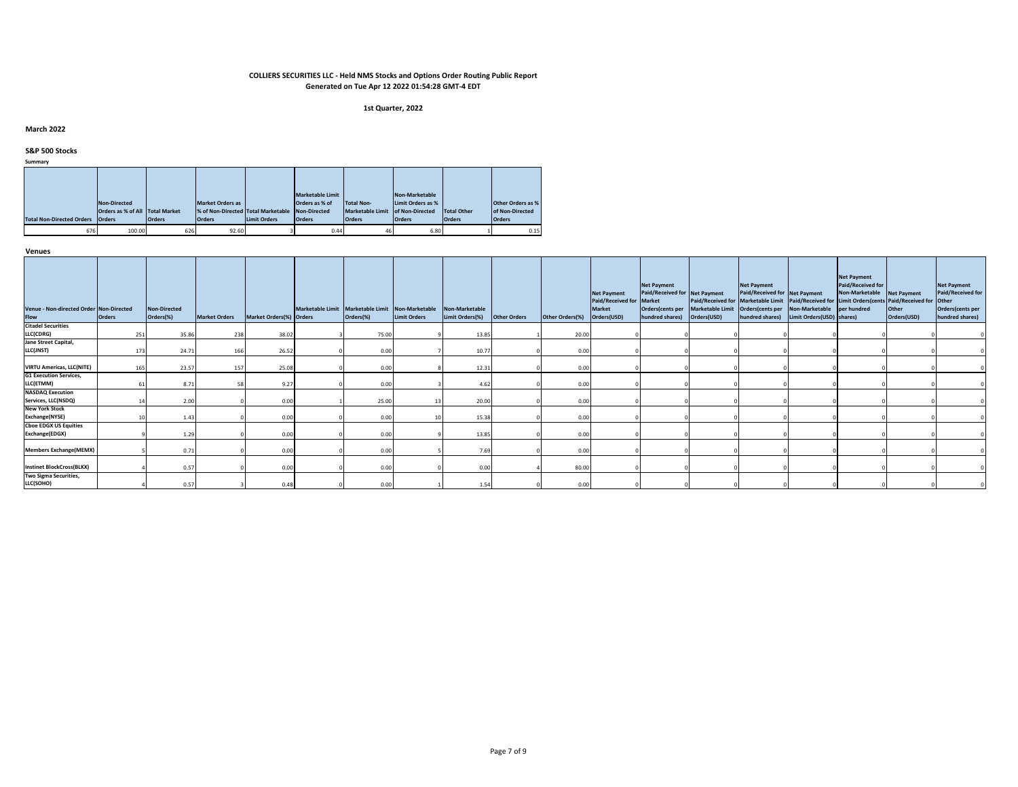#### **1st Quarter, 2022**

# **March 2022**

# **S&P 500 Stocks**

**Summary**

|                                  |                                 |               |                                    |                     | <b>Marketable Limit</b> |                         | Non-Marketable    |               |                          |
|----------------------------------|---------------------------------|---------------|------------------------------------|---------------------|-------------------------|-------------------------|-------------------|---------------|--------------------------|
|                                  | Non-Directed                    |               | <b>Market Orders as</b>            |                     | Orders as % of          | <b>Total Non-</b>       | Limit Orders as % |               | <b>Other Orders as %</b> |
|                                  | Orders as % of All Total Market |               | % of Non-Directed Total Marketable |                     | Non-Directed            | <b>Marketable Limit</b> | of Non-Directed   | Total Other   | of Non-Directed          |
| <b>Total Non-Directed Orders</b> | <b>Orders</b>                   | <b>Orders</b> | <b>Orders</b>                      | <b>Limit Orders</b> | <b>Orders</b>           | <b>Orders</b>           | <b>Orders</b>     | <b>Orders</b> | <b>Orders</b>            |
| 676                              | 100.00                          | 626           | 92.60                              |                     | 0.44                    | 46                      | 6.80              |               | 0.15                     |

| Venue - Non-directed Order Non-Directed<br>Flow | <b>Orders</b> | <b>Non-Directed</b><br>Orders(%) | <b>Market Orders</b> | Market Orders(%) Orders | Marketable Limit Marketable Limit Non-Marketable Non-Marketable<br>Orders(%) | Limit Orders | Limit Orders(%) | <b>Other Orders</b> | Other Orders(%) | <b>Net Payment</b><br>Paid/Received for Market<br>Market<br>Orders(USD) | <b>Net Payment</b><br>Paid/Received for Net Payment<br>hundred shares) | Orders(cents per Marketable Limit   Orders(cents per Non-Marketable   per hundred<br>Orders(USD) | <b>Net Payment</b><br>Paid/Received for Net Payment<br>hundred shares) | Limit Orders(USD) shares) | <b>Net Payment</b><br>Paid/Received for<br>Non-Marketable Net Payment | Paid/Received for Marketable Limit Paid/Received for Limit Orders(cents Paid/Received for Other<br>Other<br>Orders(USD) | <b>Net Payment</b><br>Paid/Received for<br>Orders(cents per<br>hundred shares) |
|-------------------------------------------------|---------------|----------------------------------|----------------------|-------------------------|------------------------------------------------------------------------------|--------------|-----------------|---------------------|-----------------|-------------------------------------------------------------------------|------------------------------------------------------------------------|--------------------------------------------------------------------------------------------------|------------------------------------------------------------------------|---------------------------|-----------------------------------------------------------------------|-------------------------------------------------------------------------------------------------------------------------|--------------------------------------------------------------------------------|
| <b>Citadel Securities</b><br>LLC(CDRG)          | 251           | 35.86                            | 238                  | 38.02                   | 75.00                                                                        |              | 13.85           |                     | 20.00           |                                                                         |                                                                        |                                                                                                  |                                                                        |                           |                                                                       |                                                                                                                         |                                                                                |
| Jane Street Capital,<br>LLC(JNST)               | 173           | 24.71                            | 166                  | 26.52                   | 0.00                                                                         |              | 10.77           |                     | 0.00            |                                                                         |                                                                        |                                                                                                  |                                                                        |                           |                                                                       |                                                                                                                         |                                                                                |
| <b>VIRTU Americas, LLC(NITE)</b>                | 165           | 23.57                            | 157                  | 25.08                   | 0.00                                                                         |              | 12.31           |                     | 0.00            |                                                                         |                                                                        |                                                                                                  |                                                                        |                           |                                                                       |                                                                                                                         |                                                                                |
| <b>G1 Execution Services,</b><br>LLC(ETMM)      | 61            | 8.71                             |                      | 9.27                    | 0.00                                                                         |              | 4.62            |                     | 0.00            |                                                                         |                                                                        |                                                                                                  |                                                                        |                           |                                                                       |                                                                                                                         |                                                                                |
| <b>NASDAQ Execution</b><br>Services, LLC(NSDQ)  |               | 2.00                             |                      | 0.00                    | 25.00                                                                        |              | 20.00           |                     | 0.00            |                                                                         |                                                                        |                                                                                                  |                                                                        |                           |                                                                       |                                                                                                                         |                                                                                |
| <b>New York Stock</b><br>Exchange(NYSE)         |               | 1.43                             |                      | 0.00                    | 0.00                                                                         |              | 15.38           |                     | 0.00            |                                                                         |                                                                        |                                                                                                  |                                                                        |                           |                                                                       |                                                                                                                         |                                                                                |
| <b>Cboe EDGX US Equities</b><br>Exchange(EDGX)  |               | 1.29                             |                      | 0.00                    | 0.00                                                                         |              | 13.85           |                     | 0.00            |                                                                         |                                                                        |                                                                                                  |                                                                        |                           |                                                                       |                                                                                                                         |                                                                                |
| <b>Members Exchange(MEMX)</b>                   |               | 0.71                             |                      | 0.00                    | 0.00                                                                         |              | 7.69            |                     | 0.00            |                                                                         |                                                                        |                                                                                                  |                                                                        |                           |                                                                       |                                                                                                                         |                                                                                |
| <b>Instinet BlockCross(BLKX)</b>                |               | 0.57                             |                      | 0.00                    | 0.00                                                                         |              | 0.00            |                     | 80.00           |                                                                         |                                                                        |                                                                                                  |                                                                        |                           |                                                                       |                                                                                                                         |                                                                                |
| Two Sigma Securities,<br>LLC(SOHO)              |               | 0.57                             |                      | 0.48                    | 0.00                                                                         |              | 1.54            |                     | 0.00            |                                                                         |                                                                        |                                                                                                  |                                                                        |                           |                                                                       |                                                                                                                         |                                                                                |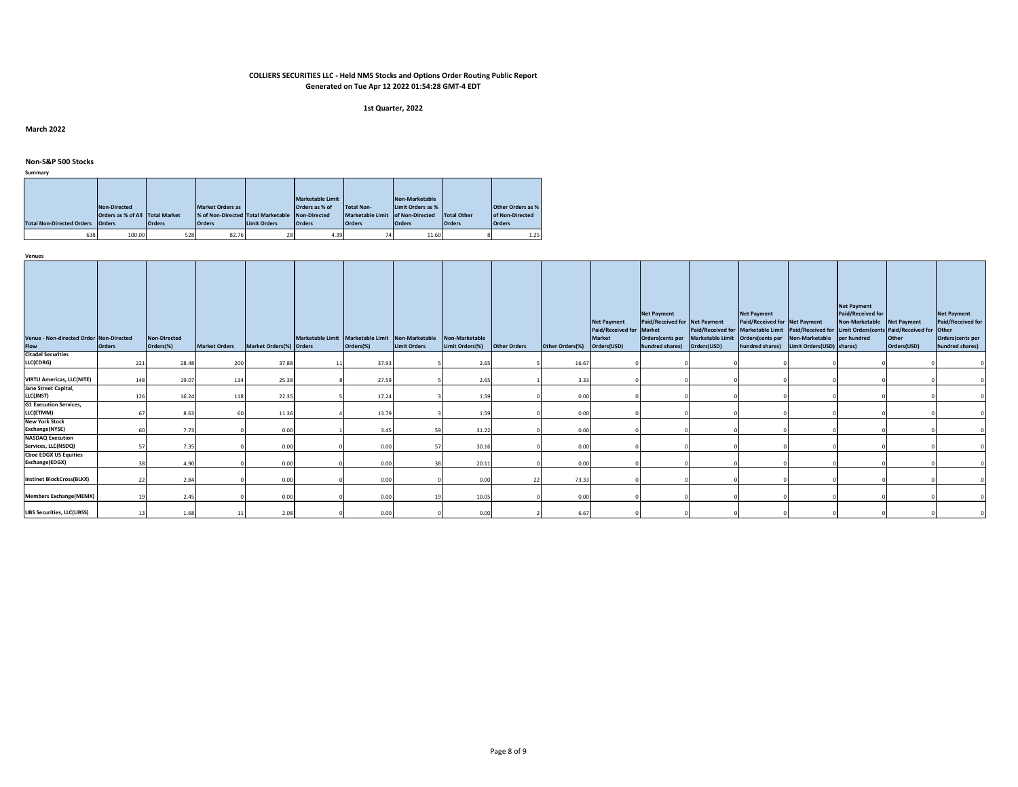#### **1st Quarter, 2022**

**March 2022**

**Non-S&P 500 Stocks**

**Summary**

| <b>Total Non-Directed Orders</b> | Non-Directed<br>Orders as % of All Total Market<br><b>Orders</b> | <b>Orders</b> | <b>Market Orders as</b><br>% of Non-Directed Total Marketable Non-Directed<br><b>Orders</b> | <b>Limit Orders</b> | <b>Marketable Limit</b><br>Orders as % of<br><b>Orders</b> | <b>Total Non-</b><br>Marketable Limit of Non-Directed<br><b>Orders</b> | Non-Marketable<br>Limit Orders as %<br><b>Orders</b> | Total Other<br><b>Orders</b> | <b>Other Orders as %</b><br>of Non-Directed<br><b>Orders</b> |
|----------------------------------|------------------------------------------------------------------|---------------|---------------------------------------------------------------------------------------------|---------------------|------------------------------------------------------------|------------------------------------------------------------------------|------------------------------------------------------|------------------------------|--------------------------------------------------------------|
| 638                              | 100.00                                                           | 528           | 82.76                                                                                       | 28                  | 4.39                                                       | 74                                                                     | 11.60                                                |                              | 1.25                                                         |

| Venue - Non-directed Order Non-Directed<br>Flow | Orders | <b>Non-Directed</b><br>Orders(%) | <b>Market Orders</b> | Market Orders(%) Orders | Marketable Limit Marketable Limit Non-Marketable<br>Orders(%) | <b>Limit Orders</b> | Non-Marketable<br>Limit Orders(%) Other Orders |    | Other Orders(%) | <b>Net Payment</b><br>Paid/Received for Market<br>Market<br>Orders(USD) | <b>Net Payment</b><br>Paid/Received for Net Payment<br>hundred shares) Orders(USD) | Orders(cents per Marketable Limit Orders(cents per Non-Marketable per hundred | <b>Net Payment</b><br>Paid/Received for Net Payment | hundred shares) Limit Orders (USD) shares) | <b>Net Payment</b><br>Paid/Received for<br>Non-Marketable Net Payment<br>Paid/Received for Marketable Limit Paid/Received for Limit Orders(cents Paid/Received for Other | Other<br>Orders(USD) | <b>Net Payment</b><br>Paid/Received for<br>Orders(cents per<br>hundred shares) |
|-------------------------------------------------|--------|----------------------------------|----------------------|-------------------------|---------------------------------------------------------------|---------------------|------------------------------------------------|----|-----------------|-------------------------------------------------------------------------|------------------------------------------------------------------------------------|-------------------------------------------------------------------------------|-----------------------------------------------------|--------------------------------------------|--------------------------------------------------------------------------------------------------------------------------------------------------------------------------|----------------------|--------------------------------------------------------------------------------|
| <b>Citadel Securities</b>                       |        |                                  |                      |                         |                                                               |                     |                                                |    |                 |                                                                         |                                                                                    |                                                                               |                                                     |                                            |                                                                                                                                                                          |                      |                                                                                |
| LLC(CDRG)                                       | 221    | 28.48                            | 200                  | 37.88                   | 37.93                                                         |                     | 2.65                                           |    | 16.67           |                                                                         |                                                                                    |                                                                               |                                                     |                                            |                                                                                                                                                                          |                      |                                                                                |
| <b>VIRTU Americas, LLC(NITE)</b>                | 148    | 19.07                            | 134                  | 25.38                   | 27.59                                                         |                     | 2.65                                           |    | 3.33            |                                                                         |                                                                                    |                                                                               |                                                     |                                            |                                                                                                                                                                          |                      |                                                                                |
| Jane Street Capital,                            |        |                                  |                      |                         |                                                               |                     |                                                |    |                 |                                                                         |                                                                                    |                                                                               |                                                     |                                            |                                                                                                                                                                          |                      |                                                                                |
| LLC(JNST)                                       | 126    | 16.24                            | 118                  | 22.35                   | 17.24                                                         |                     | 1.59                                           |    | 0.00            |                                                                         |                                                                                    |                                                                               |                                                     |                                            |                                                                                                                                                                          |                      |                                                                                |
| <b>G1 Execution Services,</b>                   |        |                                  |                      |                         |                                                               |                     |                                                |    |                 |                                                                         |                                                                                    |                                                                               |                                                     |                                            |                                                                                                                                                                          |                      |                                                                                |
| LLC(ETMM)                                       | 67     | 8.63                             | 60                   | 11.36                   | 13.79                                                         |                     | 1.59                                           |    | 0.00            |                                                                         |                                                                                    |                                                                               |                                                     |                                            |                                                                                                                                                                          |                      |                                                                                |
| <b>New York Stock</b>                           |        |                                  |                      |                         |                                                               |                     |                                                |    |                 |                                                                         |                                                                                    |                                                                               |                                                     |                                            |                                                                                                                                                                          |                      |                                                                                |
| Exchange(NYSE)                                  | 60     | 7.73                             |                      | 0.00                    | 3.45                                                          | 59                  | 31.22                                          |    | 0.00            |                                                                         |                                                                                    |                                                                               |                                                     |                                            |                                                                                                                                                                          |                      |                                                                                |
| <b>NASDAQ Execution</b>                         |        |                                  |                      |                         |                                                               |                     |                                                |    |                 |                                                                         |                                                                                    |                                                                               |                                                     |                                            |                                                                                                                                                                          |                      |                                                                                |
| Services, LLC(NSDQ)                             | 57     | 7.35                             |                      | 0.00                    | 0.00                                                          | 57                  | 30.16                                          |    | 0.00            |                                                                         |                                                                                    |                                                                               |                                                     |                                            |                                                                                                                                                                          |                      |                                                                                |
| <b>Cboe EDGX US Equities</b>                    |        |                                  |                      |                         |                                                               |                     |                                                |    |                 |                                                                         |                                                                                    |                                                                               |                                                     |                                            |                                                                                                                                                                          |                      |                                                                                |
| Exchange(EDGX)                                  | 38     | 4.90                             |                      | 0.00                    | 0.00                                                          | 38                  | 20.11                                          |    | 0.00            |                                                                         |                                                                                    |                                                                               |                                                     |                                            |                                                                                                                                                                          |                      |                                                                                |
| <b>Instinet BlockCross(BLKX)</b>                | 22     | 2.84                             |                      | 0.00                    | 0.00                                                          |                     | 0.00                                           | 22 | 73.33           |                                                                         |                                                                                    |                                                                               |                                                     |                                            |                                                                                                                                                                          |                      |                                                                                |
| <b>Members Exchange(MEMX)</b>                   |        | 2.45                             |                      | 0.00                    | 0.00                                                          |                     | 10.05                                          |    | 0.00            |                                                                         |                                                                                    |                                                                               |                                                     |                                            |                                                                                                                                                                          |                      |                                                                                |
| <b>UBS Securities, LLC(UBSS)</b>                | 13     | 1.68                             |                      | 2.08                    | 0.00                                                          |                     | 0.00                                           |    | 6.67            |                                                                         |                                                                                    |                                                                               |                                                     |                                            |                                                                                                                                                                          |                      |                                                                                |